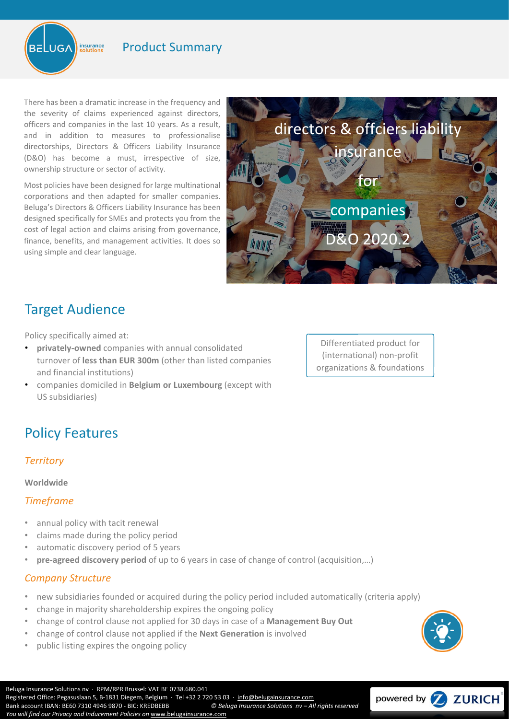

## Product Summary

There has been a dramatic increase in the frequency and the severity of claims experienced against directors, officers and companies in the last 10 years. As a result, and in addition to measures to professionalise directorships, Directors & Officers Liability Insurance (D&O) has become a must, irrespective of size, ownership structure or sector of activity.

Most policies have been designed for large multinational corporations and then adapted for smaller companies. Beluga's Directors & Officers Liability Insurance has been designed specifically for SMEs and protects you from the cost of legal action and claims arising from governance, finance, benefits, and management activities. It does so using simple and clear language.



# Target Audience

Policy specifically aimed at:

- **privately-owned** companies with annual consolidated turnover of **less than EUR 300m** (other than listed companies and financial institutions)
- companies domiciled in **Belgium or Luxembourg** (except with US subsidiaries)

# Policy Features

### *Territory*

### **Worldwide**

### *Timeframe*

- annual policy with tacit renewal
- claims made during the policy period
- automatic discovery period of 5 years
- **pre-agreed discovery period** of up to 6 years in case of change of control (acquisition,…)

### *Company Structure*

- new subsidiaries founded or acquired during the policy period included automatically (criteria apply)
- change in majority shareholdership expires the ongoing policy
- change of control clause not applied for 30 days in case of a **Management Buy Out**
- change of control clause not applied if the **Next Generation** is involved
- public listing expires the ongoing policy

Differentiated product for (international) non-profit organizations & foundations



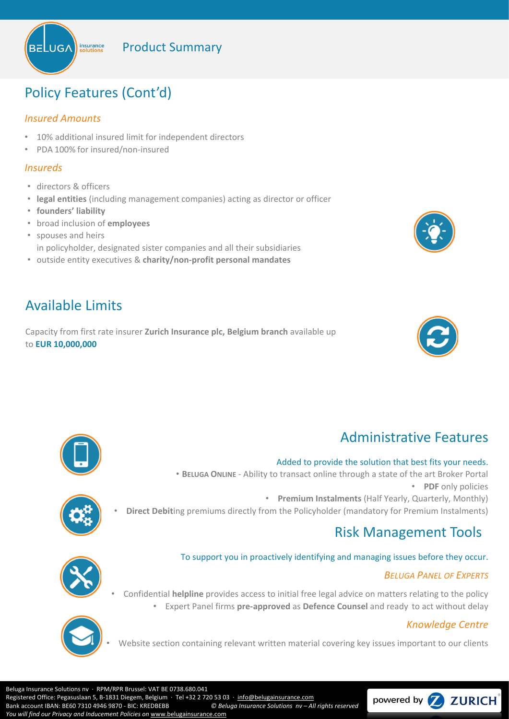Product Summary



# Policy Features (Cont'd)

## *Insured Amounts*

- 10% additional insured limit for independent directors
- PDA 100% for insured/non-insured

## *Insureds*

- directors & officers
- **legal entities** (including management companies) acting as director or officer
- **founders' liability**
- broad inclusion of **employees**
- spouses and heirs in policyholder, designated sister companies and all their subsidiaries
- outside entity executives & **charity/non-profit personal mandates**

# Available Limits

Capacity from first rate insurer **Zurich Insurance plc, Belgium branch** available up to **EUR 10,000,000**





# Administrative Features

### Added to provide the solution that best fits your needs.

• **BELUGA ONLINE** - Ability to transact online through a state of the art Broker Portal • **PDF** only policies • **Premium Instalments** (Half Yearly, Quarterly, Monthly) • **Direct Debit**ing premiums directly from the Policyholder (mandatory for Premium Instalments)



# Risk Management Tools

## To support you in proactively identifying and managing issues before they occur.

## *BELUGA PANEL OF EXPERTS*

- 
- Confidential **helpline** provides access to initial free legal advice on matters relating to the policy • Expert Panel firms **pre-approved** as **Defence Counsel** and ready to act without delay

## *Knowledge Centre*



Website section containing relevant written material covering key issues important to our clients